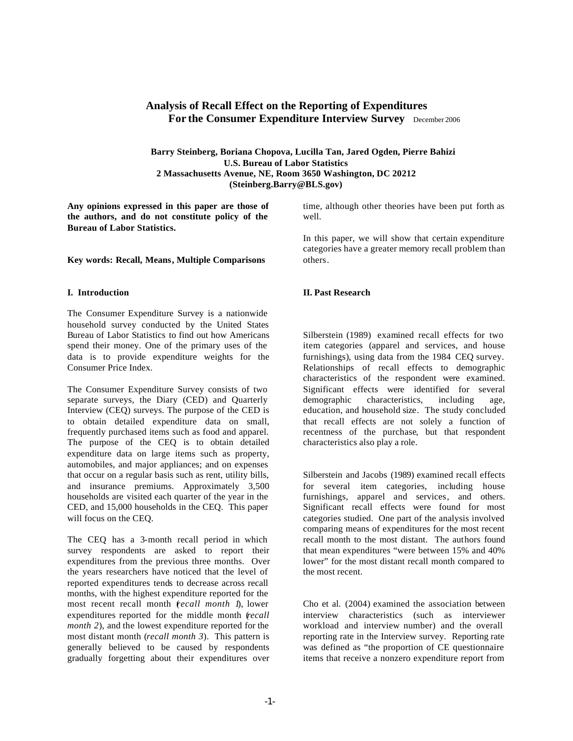# **Analysis of Recall Effect on the Reporting of Expenditures For the Consumer Expenditure Interview Survey** December 2006

**Barry Steinberg, Boriana Chopova, Lucilla Tan, Jared Ogden, Pierre Bahizi U.S. Bureau of Labor Statistics 2 Massachusetts Avenue, NE, Room 3650 Washington, DC 20212 (Steinberg.Barry@BLS.gov)**

**Any opinions expressed in this paper are those of the authors, and do not constitute policy of the Bureau of Labor Statistics.**

**Key words: Recall, Means, Multiple Comparisons**

#### **I. Introduction**

The Consumer Expenditure Survey is a nationwide household survey conducted by the United States Bureau of Labor Statistics to find out how Americans spend their money. One of the primary uses of the data is to provide expenditure weights for the Consumer Price Index.

The Consumer Expenditure Survey consists of two separate surveys, the Diary (CED) and Quarterly Interview (CEQ) surveys. The purpose of the CED is to obtain detailed expenditure data on small, frequently purchased items such as food and apparel. The purpose of the CEQ is to obtain detailed expenditure data on large items such as property, automobiles, and major appliances; and on expenses that occur on a regular basis such as rent, utility bills, and insurance premiums. Approximately 3,500 households are visited each quarter of the year in the CED, and 15,000 households in the CEQ. This paper will focus on the CEQ.

The CEQ has a 3-month recall period in which survey respondents are asked to report their expenditures from the previous three months. Over the years researchers have noticed that the level of reported expenditures tends to decrease across recall months, with the highest expenditure reported for the most recent recall month (*recall month 1*), lower expenditures reported for the middle month (*recall month 2*), and the lowest expenditure reported for the most distant month (*recall month 3*). This pattern is generally believed to be caused by respondents gradually forgetting about their expenditures over

time, although other theories have been put forth as well.

In this paper, we will show that certain expenditure categories have a greater memory recall problem than others.

## **II. Past Research**

Silberstein (1989) examined recall effects for two item categories (apparel and services, and house furnishings), using data from the 1984 CEQ survey. Relationships of recall effects to demographic characteristics of the respondent were examined. Significant effects were identified for several demographic characteristics, including age, education, and household size. The study concluded that recall effects are not solely a function of recentness of the purchase, but that respondent characteristics also play a role.

Silberstein and Jacobs (1989) examined recall effects for several item categories, including house furnishings, apparel and services, and others. Significant recall effects were found for most categories studied. One part of the analysis involved comparing means of expenditures for the most recent recall month to the most distant. The authors found that mean expenditures "were between 15% and 40% lower" for the most distant recall month compared to the most recent.

Cho et al. (2004) examined the association between interview characteristics (such as interviewer workload and interview number) and the overall reporting rate in the Interview survey. Reporting rate was defined as "the proportion of CE questionnaire items that receive a nonzero expenditure report from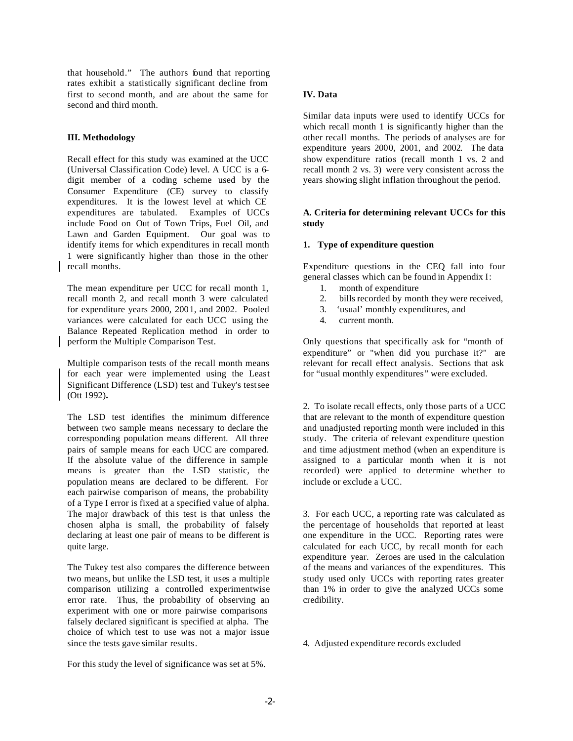that household." The authors found that reporting rates exhibit a statistically significant decline from first to second month, and are about the same for second and third month.

# **III. Methodology**

Recall effect for this study was examined at the UCC (Universal Classification Code) level. A UCC is a 6 digit member of a coding scheme used by the Consumer Expenditure (CE) survey to classify expenditures. It is the lowest level at which CE expenditures are tabulated. Examples of UCCs include Food on Out of Town Trips, Fuel Oil, and Lawn and Garden Equipment. Our goal was to identify items for which expenditures in recall month 1 were significantly higher than those in the other recall months.

The mean expenditure per UCC for recall month 1, recall month 2, and recall month 3 were calculated for expenditure years 2000, 2001, and 2002. Pooled variances were calculated for each UCC using the Balance Repeated Replication method in order to perform the Multiple Comparison Test.

Multiple comparison tests of the recall month means for each year were implemented using the Least Significant Difference (LSD) test and Tukey's testsee (Ott 1992)**.** 

The LSD test identifies the minimum difference between two sample means necessary to declare the corresponding population means different. All three pairs of sample means for each UCC are compared. If the absolute value of the difference in sample means is greater than the LSD statistic, the population means are declared to be different. For each pairwise comparison of means, the probability of a Type I error is fixed at a specified value of alpha. The major drawback of this test is that unless the chosen alpha is small, the probability of falsely declaring at least one pair of means to be different is quite large.

The Tukey test also compares the difference between two means, but unlike the LSD test, it uses a multiple comparison utilizing a controlled experimentwise error rate. Thus, the probability of observing an experiment with one or more pairwise comparisons falsely declared significant is specified at alpha. The choice of which test to use was not a major issue since the tests gave similar results.

For this study the level of significance was set at 5%.

# **IV. Data**

Similar data inputs were used to identify UCCs for which recall month 1 is significantly higher than the other recall months. The periods of analyses are for expenditure years 2000, 2001, and 2002. The data show expenditure ratios (recall month 1 vs. 2 and recall month 2 vs. 3) were very consistent across the years showing slight inflation throughout the period.

## **A. Criteria for determining relevant UCCs for this study**

# **1. Type of expenditure question**

Expenditure questions in the CEQ fall into four general classes which can be found in Appendix I:

- 1. month of expenditure
- 2. bills recorded by month they were received,
- 3. 'usual' monthly expenditures, and
- 4. current month.

Only questions that specifically ask for "month of expenditure" or "when did you purchase it?" are relevant for recall effect analysis. Sections that ask for "usual monthly expenditures" were excluded.

2. To isolate recall effects, only those parts of a UCC that are relevant to the month of expenditure question and unadjusted reporting month were included in this study. The criteria of relevant expenditure question and time adjustment method (when an expenditure is assigned to a particular month when it is not recorded) were applied to determine whether to include or exclude a UCC.

3. For each UCC, a reporting rate was calculated as the percentage of households that reported at least one expenditure in the UCC. Reporting rates were calculated for each UCC, by recall month for each expenditure year. Zeroes are used in the calculation of the means and variances of the expenditures. This study used only UCCs with reporting rates greater than 1% in order to give the analyzed UCCs some credibility.

4. Adjusted expenditure records excluded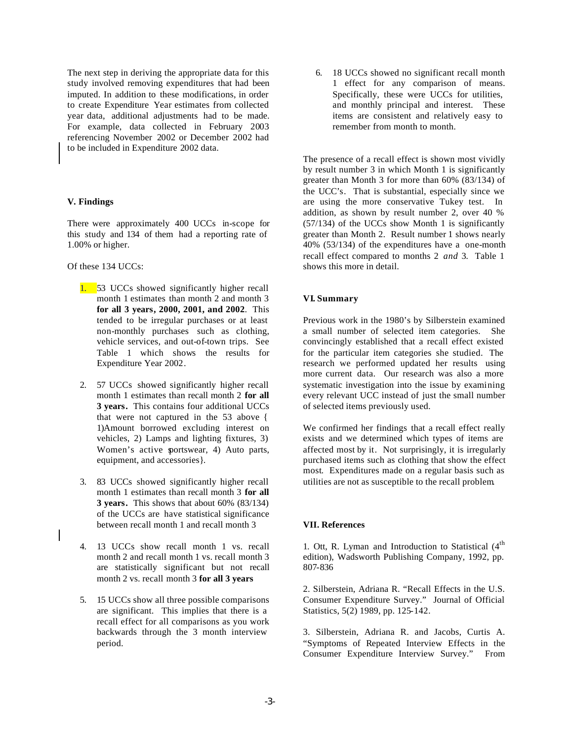The next step in deriving the appropriate data for this study involved removing expenditures that had been imputed. In addition to these modifications, in order to create Expenditure Year estimates from collected year data, additional adjustments had to be made. For example, data collected in February 2003 referencing November 2002 or December 2002 had to be included in Expenditure 2002 data.

### **V. Findings**

There were approximately 400 UCCs in-scope for this study and 134 of them had a reporting rate of 1.00% or higher.

Of these 134 UCCs:

- 1. 53 UCCs showed significantly higher recall month 1 estimates than month 2 and month 3 **for all 3 years, 2000, 2001, and 2002**. This tended to be irregular purchases or at least non-monthly purchases such as clothing, vehicle services, and out-of-town trips. See Table 1 which shows the results for Expenditure Year 2002.
- 2. 57 UCCs showed significantly higher recall month 1 estimates than recall month 2 **for all 3 years.** This contains four additional UCCs that were not captured in the 53 above { 1)Amount borrowed excluding interest on vehicles, 2) Lamps and lighting fixtures, 3) Women's active sportswear, 4) Auto parts, equipment, and accessories}.
- 3. 83 UCCs showed significantly higher recall month 1 estimates than recall month 3 **for all 3 years.** This shows that about 60% (83/134) of the UCCs are have statistical significance between recall month 1 and recall month 3
- 4. 13 UCCs show recall month 1 vs. recall month 2 and recall month 1 vs. recall month 3 are statistically significant but not recall month 2 vs. recall month 3 **for all 3 years**
- 5. 15 UCCs show all three possible comparisons are significant. This implies that there is a recall effect for all comparisons as you work backwards through the 3 month interview period.

6. 18 UCCs showed no significant recall month 1 effect for any comparison of means. Specifically, these were UCCs for utilities, and monthly principal and interest. These items are consistent and relatively easy to remember from month to month.

The presence of a recall effect is shown most vividly by result number 3 in which Month 1 is significantly greater than Month 3 for more than 60% (83/134) of the UCC's. That is substantial, especially since we are using the more conservative Tukey test. In addition, as shown by result number 2, over 40 % (57/134) of the UCCs show Month 1 is significantly greater than Month 2. Result number 1 shows nearly 40% (53/134) of the expenditures have a one-month recall effect compared to months 2 *and* 3. Table 1 shows this more in detail.

#### **VI. Summary**

Previous work in the 1980's by Silberstein examined a small number of selected item categories. She convincingly established that a recall effect existed for the particular item categories she studied. The research we performed updated her results using more current data. Our research was also a more systematic investigation into the issue by examining every relevant UCC instead of just the small number of selected items previously used.

We confirmed her findings that a recall effect really exists and we determined which types of items are affected most by it. Not surprisingly, it is irregularly purchased items such as clothing that show the effect most. Expenditures made on a regular basis such as utilities are not as susceptible to the recall problem.

# **VII. References**

1. Ott, R. Lyman and Introduction to Statistical  $(4<sup>th</sup>$ edition), Wadsworth Publishing Company, 1992, pp. 807-836

2. Silberstein, Adriana R. "Recall Effects in the U.S. Consumer Expenditure Survey." Journal of Official Statistics, 5(2) 1989, pp. 125-142.

3. Silberstein, Adriana R. and Jacobs, Curtis A. "Symptoms of Repeated Interview Effects in the Consumer Expenditure Interview Survey." From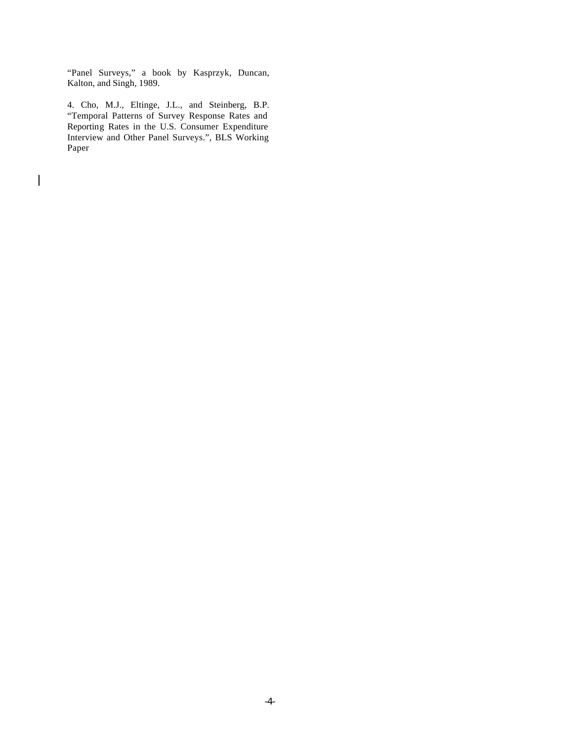"Panel Surveys," a book by Kasprzyk, Duncan, Kalton, and Singh, 1989.

4. Cho, M.J., Eltinge, J.L., and Steinberg, B.P. "Temporal Patterns of Survey Response Rates and Reporting Rates in the U.S. Consumer Expenditure Interview and Other Panel Surveys.", BLS Working Paper

 $\overline{\phantom{a}}$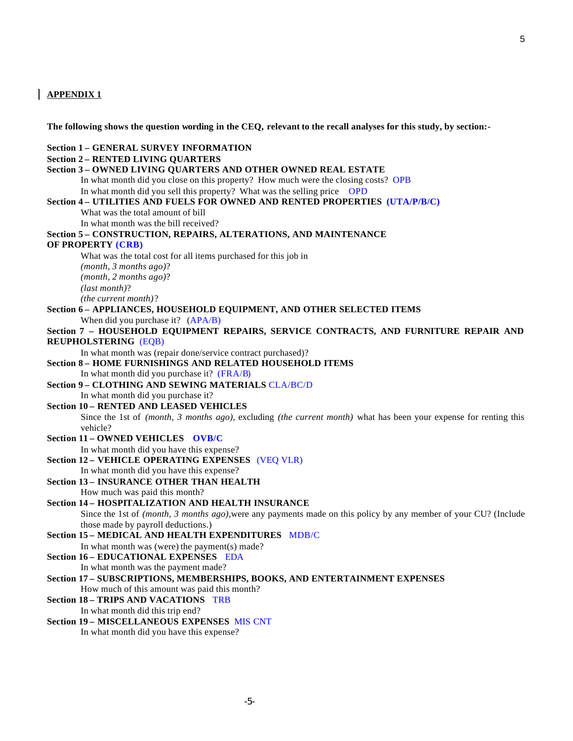# **APPENDIX 1**

**The following shows the question wording in the CEQ, relevant to the recall analyses for this study, by section:-**

#### **Section 1 – GENERAL SURVEY INFORMATION**

# **Section 2 – RENTED LIVING QUARTERS**

# **Section 3 – OWNED LIVING QUARTERS AND OTHER OWNED REAL ESTATE**

In what month did you close on this property? How much were the closing costs? OPB

In what month did you sell this property? What was the selling price OPD

#### **Section 4 – UTILITIES AND FUELS FOR OWNED AND RENTED PROPERTIES (UTA/P/B/C)**

What was the total amount of bill

In what month was the bill received?

#### **Section 5 – CONSTRUCTION, REPAIRS, ALTERATIONS, AND MAINTENANCE**

#### **OF PROPERTY (CRB)**

What was the total cost for all items purchased for this job in *(month, 3 months ago)*? *(month, 2 months ago)*? *(last month)*? *(the current month)*?

# **Section 6 – APPLIANCES, HOUSEHOLD EQUIPMENT, AND OTHER SELECTED ITEMS**

When did you purchase it? (APA/B)

# **Section 7 – HOUSEHOLD EQUIPMENT REPAIRS, SERVICE CONTRACTS, AND FURNITURE REPAIR AND REUPHOLSTERING** (EQB)

In what month was (repair done/service contract purchased)?

#### **Section 8 – HOME FURNISHINGS AND RELATED HOUSEHOLD ITEMS** In what month did you purchase it? (FRA/B)

**Section 9 – CLOTHING AND SEWING MATERIALS** CLA/BC/D In what month did you purchase it?

# **Section 10 – RENTED AND LEASED VEHICLES**

Since the 1st of *(month, 3 months ago)*, excluding *(the current month)* what has been your expense for renting this vehicle?

# **Section 11 – OWNED VEHICLES OVB/C**

In what month did you have this expense?

**Section 12 – VEHICLE OPERATING EXPENSES** (VEQ VLR)

In what month did you have this expense?

**Section 13 – INSURANCE OTHER THAN HEALTH** How much was paid this month?

# **Section 14 – HOSPITALIZATION AND HEALTH INSURANCE** Since the 1st of *(month, 3 months ago)*,were any payments made on this policy by any member of your CU? (Include

those made by payroll deductions.)

# **Section 15 – MEDICAL AND HEALTH EXPENDITURES** MDB/C

In what month was (were) the payment(s) made?

- **Section 16 EDUCATIONAL EXPENSES** EDA In what month was the payment made?
- **Section 17 SUBSCRIPTIONS, MEMBERSHIPS, BOOKS, AND ENTERTAINMENT EXPENSES** How much of this amount was paid this month?

### **Section 18 – TRIPS AND VACATIONS** TRB

In what month did this trip end?

#### **Section 19 – MISCELLANEOUS EXPENSES** MIS CNT

In what month did you have this expense?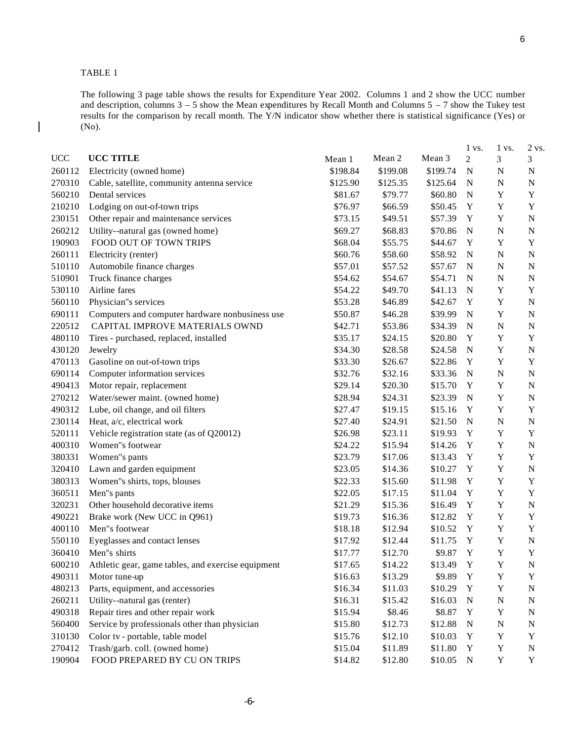TABLE 1

 $\mathbf{I}$ 

The following 3 page table shows the results for Expenditure Year 2002. Columns 1 and 2 show the UCC number and description, columns  $3 - 5$  show the Mean expenditures by Recall Month and Columns  $5 - 7$  show the Tukey test results for the comparison by recall month. The Y/N indicator show whether there is statistical significance (Yes) or (No).

|            |                                                    |          |          |          | $1 \text{ vs.}$ | 1 vs.       | 2 vs.       |
|------------|----------------------------------------------------|----------|----------|----------|-----------------|-------------|-------------|
| <b>UCC</b> | UCC TITLE                                          | Mean 1   | Mean 2   | Mean 3   | $\overline{c}$  | 3           | 3           |
| 260112     | Electricity (owned home)                           | \$198.84 | \$199.08 | \$199.74 | $\mathbf N$     | N           | $\mathbf N$ |
| 270310     | Cable, satellite, community antenna service        | \$125.90 | \$125.35 | \$125.64 | $\mathbf N$     | ${\bf N}$   | $\mathbf N$ |
| 560210     | Dental services                                    | \$81.67  | \$79.77  | \$60.80  | $\mathbf N$     | $\mathbf Y$ | Y           |
| 210210     | Lodging on out-of-town trips                       | \$76.97  | \$66.59  | \$50.45  | Y               | $\mathbf Y$ | $\mathbf Y$ |
| 230151     | Other repair and maintenance services              | \$73.15  | \$49.51  | \$57.39  | Y               | $\mathbf Y$ | $\mathbf N$ |
| 260212     | Utility--natural gas (owned home)                  | \$69.27  | \$68.83  | \$70.86  | $\mathbf N$     | ${\bf N}$   | N           |
| 190903     | FOOD OUT OF TOWN TRIPS                             | \$68.04  | \$55.75  | \$44.67  | Y               | Y           | Y           |
| 260111     | Electricity (renter)                               | \$60.76  | \$58.60  | \$58.92  | N               | ${\bf N}$   | $\mathbf N$ |
| 510110     | Automobile finance charges                         | \$57.01  | \$57.52  | \$57.67  | $\mathbf N$     | ${\bf N}$   | $\mathbf N$ |
| 510901     | Truck finance charges                              | \$54.62  | \$54.67  | \$54.71  | $\mathbf N$     | ${\bf N}$   | $\mathbf N$ |
| 530110     | Airline fares                                      | \$54.22  | \$49.70  | \$41.13  | $\mathbf N$     | $\mathbf Y$ | Y           |
| 560110     | Physician"s services                               | \$53.28  | \$46.89  | \$42.67  | Y               | $\mathbf Y$ | $\mathbf N$ |
| 690111     | Computers and computer hardware nonbusiness use    | \$50.87  | \$46.28  | \$39.99  | $\mathbf N$     | $\mathbf Y$ | $\mathbf N$ |
| 220512     | CAPITAL IMPROVE MATERIALS OWND                     | \$42.71  | \$53.86  | \$34.39  | $\mathbf N$     | ${\bf N}$   | $\mathbf N$ |
| 480110     | Tires - purchased, replaced, installed             | \$35.17  | \$24.15  | \$20.80  | Y               | $\mathbf Y$ | Y           |
| 430120     | Jewelry                                            | \$34.30  | \$28.58  | \$24.58  | $\mathbf N$     | $\mathbf Y$ | $\mathbf N$ |
| 470113     | Gasoline on out-of-town trips                      | \$33.30  | \$26.67  | \$22.86  | Y               | $\mathbf Y$ | $\mathbf Y$ |
| 690114     | Computer information services                      | \$32.76  | \$32.16  | \$33.36  | $\mathbf N$     | ${\bf N}$   | $\mathbf N$ |
| 490413     | Motor repair, replacement                          | \$29.14  | \$20.30  | \$15.70  | Y               | $\mathbf Y$ | $\mathbf N$ |
| 270212     | Water/sewer maint. (owned home)                    | \$28.94  | \$24.31  | \$23.39  | $\mathbf N$     | $\mathbf Y$ | $\mathbf N$ |
| 490312     | Lube, oil change, and oil filters                  | \$27.47  | \$19.15  | \$15.16  | Y               | $\mathbf Y$ | Y           |
| 230114     | Heat, a/c, electrical work                         | \$27.40  | \$24.91  | \$21.50  | $\mathbf N$     | ${\bf N}$   | N           |
| 520111     | Vehicle registration state (as of Q20012)          | \$26.98  | \$23.11  | \$19.93  | Y               | Y           | Y           |
| 400310     | Women"s footwear                                   | \$24.22  | \$15.94  | \$14.26  | Y               | $\mathbf Y$ | $\mathbf N$ |
| 380331     | Women"s pants                                      | \$23.79  | \$17.06  | \$13.43  | $\mathbf Y$     | $\mathbf Y$ | Y           |
| 320410     | Lawn and garden equipment                          | \$23.05  | \$14.36  | \$10.27  | Y               | $\mathbf Y$ | $\mathbf N$ |
| 380313     | Women"s shirts, tops, blouses                      | \$22.33  | \$15.60  | \$11.98  | Y               | $\mathbf Y$ | Y           |
| 360511     | Men"s pants                                        | \$22.05  | \$17.15  | \$11.04  | Y               | $\mathbf Y$ | $\mathbf Y$ |
| 320231     | Other household decorative items                   | \$21.29  | \$15.36  | \$16.49  | Y               | $\mathbf Y$ | $\mathbf N$ |
| 490221     | Brake work (New UCC in Q961)                       | \$19.73  | \$16.36  | \$12.82  | Y               | $\mathbf Y$ | Y           |
| 400110     | Men"s footwear                                     | \$18.18  | \$12.94  | \$10.52  | Y               | Y           | Y           |
| 550110     | Eyeglasses and contact lenses                      | \$17.92  | \$12.44  | \$11.75  | Y               | $\mathbf Y$ | $\mathbf N$ |
| 360410     | Men"s shirts                                       | \$17.77  | \$12.70  | \$9.87   | $\mathbf Y$     | Y           | Y           |
| 600210     | Athletic gear, game tables, and exercise equipment | \$17.65  | \$14.22  | \$13.49  | Y               | $\mathbf Y$ | ${\bf N}$   |
| 490311     | Motor tune-up                                      | \$16.63  | \$13.29  | \$9.89   | Y               | $\mathbf Y$ | Y           |
| 480213     | Parts, equipment, and accessories                  | \$16.34  | \$11.03  | \$10.29  | Y               | $\mathbf Y$ | ${\bf N}$   |
| 260211     | Utility--natural gas (renter)                      | \$16.31  | \$15.42  | \$16.03  | ${\bf N}$       | ${\bf N}$   | $\mathbf N$ |
| 490318     | Repair tires and other repair work                 | \$15.94  | \$8.46   | \$8.87   | Y               | $\mathbf Y$ | $\mathbf N$ |
| 560400     | Service by professionals other than physician      | \$15.80  | \$12.73  | \$12.88  | ${\bf N}$       | ${\bf N}$   | $\mathbf N$ |
| 310130     | Color tv - portable, table model                   | \$15.76  | \$12.10  | \$10.03  | Y               | $\mathbf Y$ | Y           |
| 270412     | Trash/garb. coll. (owned home)                     | \$15.04  | \$11.89  | \$11.80  | $\mathbf Y$     | $\mathbf Y$ | $\mathbf N$ |
| 190904     | FOOD PREPARED BY CU ON TRIPS                       | \$14.82  | \$12.80  | \$10.05  | ${\bf N}$       | $\mathbf Y$ | $\mathbf Y$ |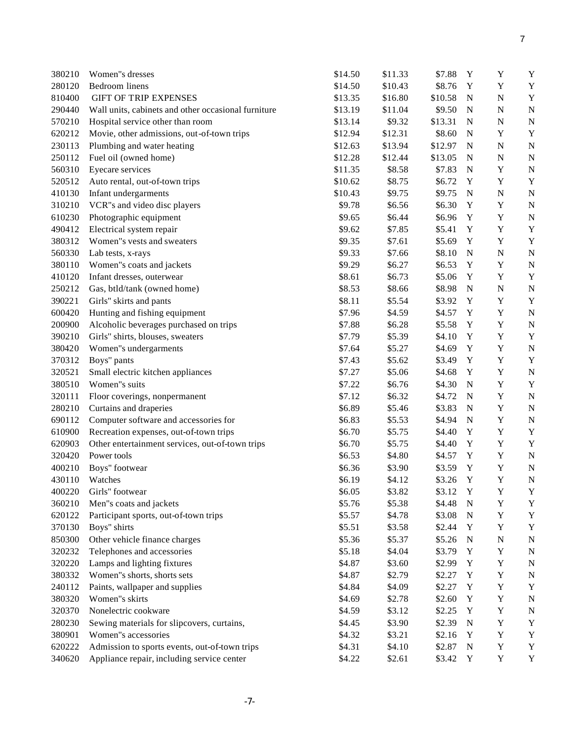| 380210 | Women"s dresses                                     | \$14.50 | \$11.33 | \$7.88  | Y           | Y           | Y           |
|--------|-----------------------------------------------------|---------|---------|---------|-------------|-------------|-------------|
| 280120 | Bedroom linens                                      | \$14.50 | \$10.43 | \$8.76  | Y           | $\mathbf Y$ | Y           |
| 810400 | <b>GIFT OF TRIP EXPENSES</b>                        | \$13.35 | \$16.80 | \$10.58 | $\mathbf N$ | $\mathbf N$ | Y           |
| 290440 | Wall units, cabinets and other occasional furniture | \$13.19 | \$11.04 | \$9.50  | $\mathbf N$ | $\mathbf N$ | $\mathbf N$ |
| 570210 | Hospital service other than room                    | \$13.14 | \$9.32  | \$13.31 | $\mathbf N$ | $\mathbf N$ | $\mathbf N$ |
| 620212 | Movie, other admissions, out-of-town trips          | \$12.94 | \$12.31 | \$8.60  | $\mathbf N$ | $\mathbf Y$ | Y           |
| 230113 | Plumbing and water heating                          | \$12.63 | \$13.94 | \$12.97 | $\mathbf N$ | ${\bf N}$   | $\mathbf N$ |
| 250112 | Fuel oil (owned home)                               | \$12.28 | \$12.44 | \$13.05 | $\mathbf N$ | ${\bf N}$   | $\mathbf N$ |
| 560310 | Eyecare services                                    | \$11.35 | \$8.58  | \$7.83  | N           | $\mathbf Y$ | $\mathbf N$ |
| 520512 | Auto rental, out-of-town trips                      | \$10.62 | \$8.75  | \$6.72  | Y           | $\mathbf Y$ | Y           |
| 410130 | Infant undergarments                                | \$10.43 | \$9.75  | \$9.75  | $\mathbf N$ | ${\bf N}$   | $\mathbf N$ |
| 310210 | VCR"s and video disc players                        | \$9.78  | \$6.56  | \$6.30  | $\mathbf Y$ | $\mathbf Y$ | $\mathbf N$ |
| 610230 | Photographic equipment                              | \$9.65  | \$6.44  | \$6.96  | $\mathbf Y$ | $\mathbf Y$ | $\mathbf N$ |
| 490412 | Electrical system repair                            | \$9.62  | \$7.85  | \$5.41  | $\mathbf Y$ | $\mathbf Y$ | Y           |
| 380312 | Women"s vests and sweaters                          | \$9.35  | \$7.61  | \$5.69  | $\mathbf Y$ | $\mathbf Y$ | Y           |
| 560330 | Lab tests, x-rays                                   | \$9.33  | \$7.66  | \$8.10  | ${\bf N}$   | ${\bf N}$   | $\mathbf N$ |
| 380110 | Women"s coats and jackets                           | \$9.29  | \$6.27  | \$6.53  | Y           | $\mathbf Y$ | $\mathbf N$ |
| 410120 | Infant dresses, outerwear                           | \$8.61  | \$6.73  | \$5.06  | Y           | $\mathbf Y$ | Y           |
| 250212 | Gas, btld/tank (owned home)                         | \$8.53  | \$8.66  | \$8.98  | $\mathbf N$ | $\mathbf N$ | $\mathbf N$ |
| 390221 | Girls" skirts and pants                             | \$8.11  | \$5.54  | \$3.92  | $\mathbf Y$ | $\mathbf Y$ | Y           |
| 600420 | Hunting and fishing equipment                       | \$7.96  | \$4.59  | \$4.57  | Y           | $\mathbf Y$ | $\mathbf N$ |
| 200900 | Alcoholic beverages purchased on trips              | \$7.88  | \$6.28  | \$5.58  | $\mathbf Y$ | $\mathbf Y$ | $\mathbf N$ |
| 390210 | Girls" shirts, blouses, sweaters                    | \$7.79  | \$5.39  | \$4.10  | $\mathbf Y$ | $\mathbf Y$ | Y           |
| 380420 | Women"s undergarments                               | \$7.64  | \$5.27  | \$4.69  | $\mathbf Y$ | $\mathbf Y$ | $\mathbf N$ |
| 370312 | Boys" pants                                         | \$7.43  | \$5.62  | \$3.49  | $\mathbf Y$ | $\mathbf Y$ | Y           |
| 320521 | Small electric kitchen appliances                   | \$7.27  | \$5.06  | \$4.68  | Y           | $\mathbf Y$ | $\mathbf N$ |
| 380510 | Women"s suits                                       | \$7.22  | \$6.76  | \$4.30  | $\mathbf N$ | $\mathbf Y$ | Y           |
| 320111 | Floor coverings, nonpermanent                       | \$7.12  | \$6.32  | \$4.72  | $\mathbf N$ | $\mathbf Y$ | $\mathbf N$ |
| 280210 | Curtains and draperies                              | \$6.89  | \$5.46  | \$3.83  | ${\bf N}$   | $\mathbf Y$ | $\mathbf N$ |
| 690112 | Computer software and accessories for               | \$6.83  | \$5.53  | \$4.94  | ${\bf N}$   | $\mathbf Y$ | $\mathbf N$ |
| 610900 | Recreation expenses, out-of-town trips              | \$6.70  | \$5.75  | \$4.40  | $\mathbf Y$ | $\mathbf Y$ | Y           |
| 620903 | Other entertainment services, out-of-town trips     | \$6.70  | \$5.75  | \$4.40  | $\mathbf Y$ | $\mathbf Y$ | Y           |
| 320420 | Power tools                                         | \$6.53  | \$4.80  | \$4.57  | $\mathbf Y$ | $\mathbf Y$ | $\mathbf N$ |
| 400210 | Boys" footwear                                      | \$6.36  | \$3.90  | \$3.59  | Y           | $\mathbf Y$ | $\mathbf N$ |
| 430110 | Watches                                             | \$6.19  | \$4.12  | \$3.26  | Y           | $\mathbf Y$ | N           |
| 400220 | Girls" footwear                                     | \$6.05  | \$3.82  | \$3.12  | Y           | $\mathbf Y$ | Y           |
| 360210 | Men"s coats and jackets                             | \$5.76  | \$5.38  | \$4.48  | $\mathbf N$ | $\mathbf Y$ | Y           |
| 620122 | Participant sports, out-of-town trips               | \$5.57  | \$4.78  | \$3.08  | $\mathbf N$ | $\mathbf Y$ | Y           |
| 370130 | Boys" shirts                                        | \$5.51  | \$3.58  | \$2.44  | Y           | $\mathbf Y$ | Y           |
| 850300 | Other vehicle finance charges                       | \$5.36  | \$5.37  | \$5.26  | ${\bf N}$   | ${\bf N}$   | N           |
| 320232 | Telephones and accessories                          | \$5.18  | \$4.04  | \$3.79  | Y           | $\mathbf Y$ | N           |
| 320220 | Lamps and lighting fixtures                         | \$4.87  | \$3.60  | \$2.99  | Y           | Y           | $\mathbf N$ |
| 380332 | Women"s shorts, shorts sets                         | \$4.87  | \$2.79  | \$2.27  | Y           | Y           | N           |
| 240112 | Paints, wallpaper and supplies                      | \$4.84  | \$4.09  | \$2.27  | $\mathbf Y$ | $\mathbf Y$ | Y           |
| 380320 | Women"s skirts                                      | \$4.69  | \$2.78  | \$2.60  | $\mathbf Y$ | $\mathbf Y$ | $\mathbf N$ |
| 320370 | Nonelectric cookware                                | \$4.59  | \$3.12  | \$2.25  | Y           | $\mathbf Y$ | $\mathbf N$ |
| 280230 | Sewing materials for slipcovers, curtains,          | \$4.45  | \$3.90  | \$2.39  | $\mathbf N$ | $\mathbf Y$ | Y           |
| 380901 | Women"s accessories                                 |         |         |         | Y           | $\mathbf Y$ | Y           |
|        |                                                     | \$4.32  | \$3.21  | \$2.16  |             | $\mathbf Y$ |             |
| 620222 | Admission to sports events, out-of-town trips       | \$4.31  | \$4.10  | \$2.87  | ${\bf N}$   |             | Y           |
| 340620 | Appliance repair, including service center          | \$4.22  | \$2.61  | \$3.42  | Y           | $\mathbf Y$ | Y           |